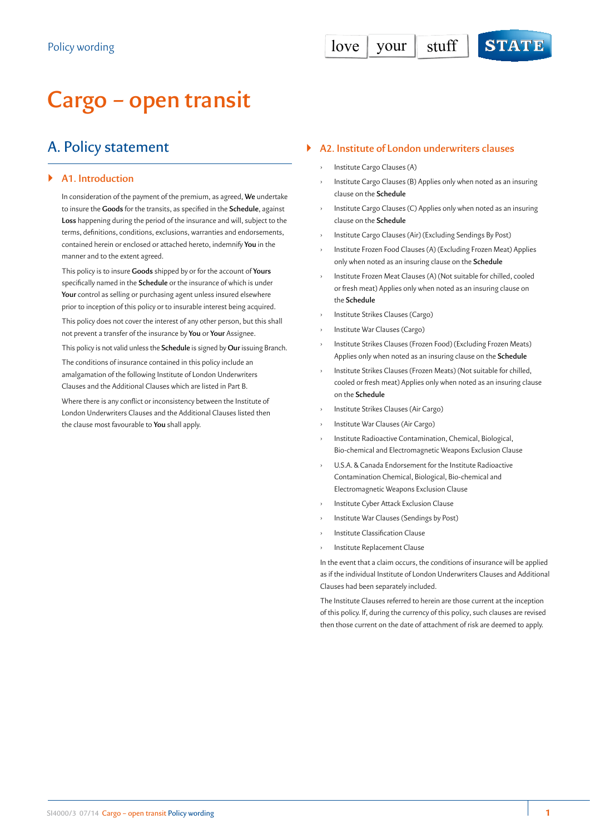# **Cargo – open transit**

# A. Policy statement

# ` **A1. Introduction**

In consideration of the payment of the premium, as agreed, **We** undertake to insure the **Goods** for the transits, as specified in the **Schedule**, against **Loss** happening during the period of the insurance and will, subject to the terms, definitions, conditions, exclusions, warranties and endorsements, contained herein or enclosed or attached hereto, indemnify **You** in the manner and to the extent agreed.

This policy is to insure **Goods** shipped by or for the account of **Yours** specifically named in the **Schedule** or the insurance of which is under **Your** control as selling or purchasing agent unless insured elsewhere prior to inception of this policy or to insurable interest being acquired.

This policy does not cover the interest of any other person, but this shall not prevent a transfer of the insurance by **You** or **Your** Assignee.

This policy is not valid unless the **Schedule** is signed by **Our** issuing Branch.

The conditions of insurance contained in this policy include an amalgamation of the following Institute of London Underwriters Clauses and the Additional Clauses which are listed in Part B.

Where there is any conflict or inconsistency between the Institute of London Underwriters Clauses and the Additional Clauses listed then the clause most favourable to **You** shall apply.

# ` **A2. Institute of London underwriters clauses**

- Institute Cargo Clauses (A)
- Institute Cargo Clauses (B) Applies only when noted as an insuring clause on the **Schedule**
- Institute Cargo Clauses (C) Applies only when noted as an insuring clause on the **Schedule**
- Institute Cargo Clauses (Air) (Excluding Sendings By Post)
- Institute Frozen Food Clauses (A) (Excluding Frozen Meat) Applies only when noted as an insuring clause on the **Schedule**
- Institute Frozen Meat Clauses (A) (Not suitable for chilled, cooled or fresh meat) Applies only when noted as an insuring clause on the **Schedule**
- Institute Strikes Clauses (Cargo)
- Institute War Clauses (Cargo)
- Institute Strikes Clauses (Frozen Food) (Excluding Frozen Meats) Applies only when noted as an insuring clause on the **Schedule**
- Institute Strikes Clauses (Frozen Meats) (Not suitable for chilled, cooled or fresh meat) Applies only when noted as an insuring clause on the **Schedule**
- Institute Strikes Clauses (Air Cargo)
- Institute War Clauses (Air Cargo)
- Institute Radioactive Contamination, Chemical, Biological, Bio-chemical and Electromagnetic Weapons Exclusion Clause
- U.S.A. & Canada Endorsement for the Institute Radioactive Contamination Chemical, Biological, Bio-chemical and Electromagnetic Weapons Exclusion Clause
- Institute Cyber Attack Exclusion Clause
- Institute War Clauses (Sendings by Post)
- › Institute Classification Clause
- Institute Replacement Clause

In the event that a claim occurs, the conditions of insurance will be applied as if the individual Institute of London Underwriters Clauses and Additional Clauses had been separately included.

The Institute Clauses referred to herein are those current at the inception of this policy. If, during the currency of this policy, such clauses are revised then those current on the date of attachment of risk are deemed to apply.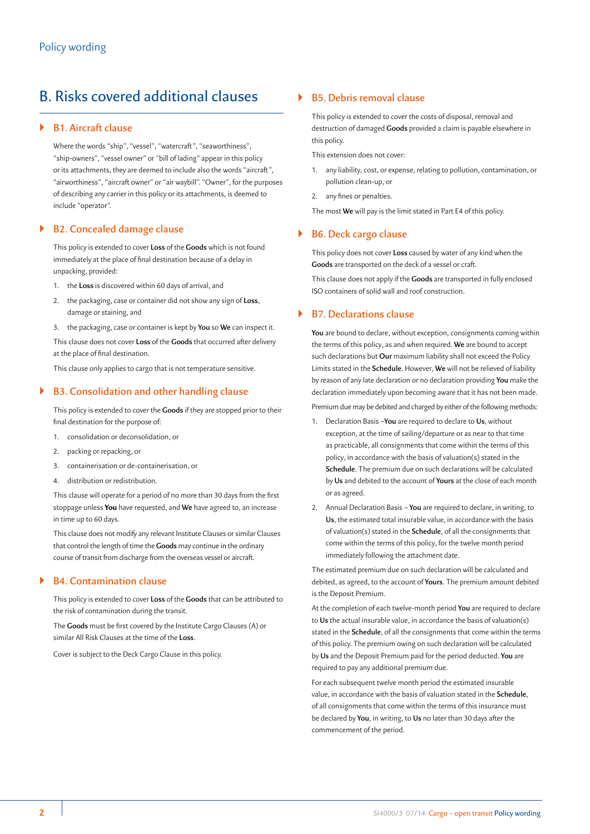# B. Risks covered additional clauses

# ` **B1. Aircraft clause**

Where the words "ship", "vessel", "watercraft", "seaworthiness", "ship-owners", "vessel owner" or "bill of lading" appear in this policy or its attachments, they are deemed to include also the words "aircraft", "airworthiness", "aircraft owner" or "air waybill". "Owner", for the purposes of describing any carrier in this policy or its attachments, is deemed to include "operator".

# ` **B2. Concealed damage clause**

This policy is extended to cover **Loss** of the **Goods** which is not found immediately at the place of final destination because of a delay in unpacking, provided:

- 1. the **Loss** is discovered within 60 days of arrival, and
- 2. the packaging, case or container did not show any sign of **Loss**, damage or staining, and
- 3. the packaging, case or container is kept by **You** so **We** can inspect it.

This clause does not cover **Loss** of the **Goods** that occurred after delivery at the place of final destination.

This clause only applies to cargo that is not temperature sensitive.

# ` **B3. Consolidation and other handling clause**

This policy is extended to cover the **Goods** if they are stopped prior to their final destination for the purpose of:

- 1. consolidation or deconsolidation, or
- 2. packing or repacking, or
- 3. containerisation or de-containerisation, or
- 4. distribution or redistribution.

This clause will operate for a period of no more than 30 days from the first stoppage unless **You** have requested, and **We** have agreed to, an increase in time up to 60 days.

This clause does not modify any relevant Institute Clauses or similar Clauses that control the length of time the **Goods** may continue in the ordinary course of transit from discharge from the overseas vessel or aircraft.

# ` **B4. Contamination clause**

This policy is extended to cover **Loss** of the **Goods** that can be attributed to the risk of contamination during the transit.

The **Goods** must be first covered by the Institute Cargo Clauses (A) or similar All Risk Clauses at the time of the **Loss**.

Cover is subject to the Deck Cargo Clause in this policy.

# ` **B5. Debris removal clause**

This policy is extended to cover the costs of disposal, removal and destruction of damaged **Goods** provided a claim is payable elsewhere in this policy.

This extension does not cover:

- 1. any liability, cost, or expense, relating to pollution, contamination, or pollution clean-up, or
- 2. any fines or penalties.

The most **We** will pay is the limit stated in Part E4 of this policy.

#### ` **B6. Deck cargo clause**

This policy does not cover **Loss** caused by water of any kind when the **Goods** are transported on the deck of a vessel or craft.

This clause does not apply if the **Goods** are transported in fully enclosed ISO containers of solid wall and roof construction.

#### ` **B7. Declarations clause**

**You** are bound to declare, without exception, consignments coming within the terms of this policy, as and when required. **We** are bound to accept such declarations but **Our** maximum liability shall not exceed the Policy Limits stated in the **Schedule**. However, **We** will not be relieved of liability by reason of any late declaration or no declaration providing **You** make the declaration immediately upon becoming aware that it has not been made. Premium due may be debited and charged by either of the following methods:

- 1. Declaration Basis –**You** are required to declare to **Us**, without exception, at the time of sailing/departure or as near to that time as practicable, all consignments that come within the terms of this policy, in accordance with the basis of valuation(s) stated in the **Schedule**. The premium due on such declarations will be calculated by **Us** and debited to the account of **Yours** at the close of each month or as agreed.
- 2. Annual Declaration Basis **You** are required to declare, in writing, to **Us**, the estimated total insurable value, in accordance with the basis of valuation(s) stated in the **Schedule**, of all the consignments that come within the terms of this policy, for the twelve month period immediately following the attachment date.

The estimated premium due on such declaration will be calculated and debited, as agreed, to the account of **Yours**. The premium amount debited is the Deposit Premium.

At the completion of each twelve-month period **You** are required to declare to **Us** the actual insurable value, in accordance the basis of valuation(s) stated in the **Schedule**, of all the consignments that come within the terms of this policy. The premium owing on such declaration will be calculated by **Us** and the Deposit Premium paid for the period deducted. **You** are required to pay any additional premium due.

For each subsequent twelve month period the estimated insurable value, in accordance with the basis of valuation stated in the **Schedule**, of all consignments that come within the terms of this insurance must be declared by **You**, in writing, to **Us** no later than 30 days after the commencement of the period.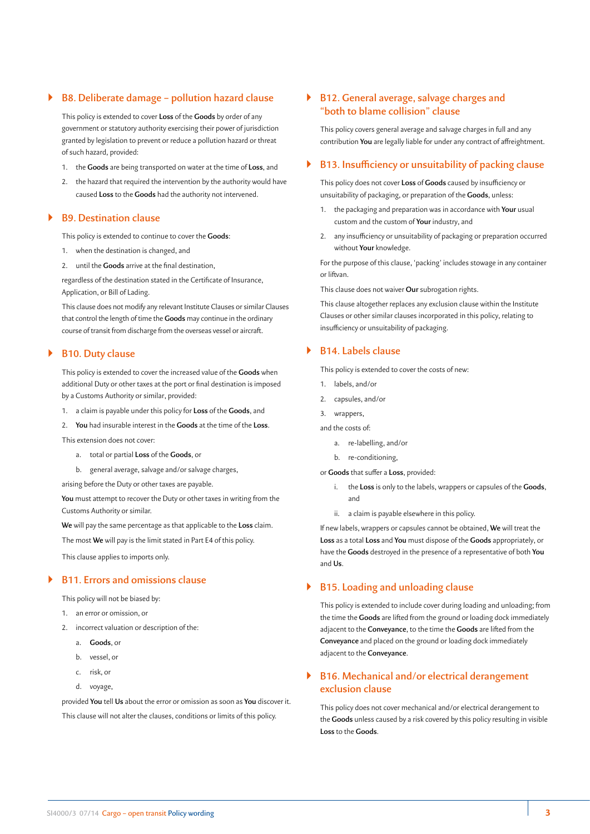# ` **B8. Deliberate damage – pollution hazard clause**

This policy is extended to cover **Loss** of the **Goods** by order of any government or statutory authority exercising their power of jurisdiction granted by legislation to prevent or reduce a pollution hazard or threat of such hazard, provided:

- 1. the **Goods** are being transported on water at the time of **Loss**, and
- 2. the hazard that required the intervention by the authority would have caused **Loss** to the **Goods** had the authority not intervened.

#### ` **B9. Destination clause**

This policy is extended to continue to cover the **Goods**:

- 1. when the destination is changed, and
- 2. until the **Goods** arrive at the final destination,

regardless of the destination stated in the Certificate of Insurance, Application, or Bill of Lading.

This clause does not modify any relevant Institute Clauses or similar Clauses that control the length of time the **Goods** may continue in the ordinary course of transit from discharge from the overseas vessel or aircraft.

# ` **B10. Duty clause**

This policy is extended to cover the increased value of the **Goods** when additional Duty or other taxes at the port or final destination is imposed by a Customs Authority or similar, provided:

- 1. a claim is payable under this policy for **Loss** of the **Goods**, and
- 2. **You** had insurable interest in the **Goods** at the time of the **Loss**.

This extension does not cover:

- a. total or partial **Loss** of the **Goods**, or
- b. general average, salvage and/or salvage charges,

arising before the Duty or other taxes are payable.

**You** must attempt to recover the Duty or other taxes in writing from the Customs Authority or similar.

**We** will pay the same percentage as that applicable to the **Loss** claim.

The most **We** will pay is the limit stated in Part E4 of this policy.

This clause applies to imports only.

# ` **B11. Errors and omissions clause**

This policy will not be biased by:

- 1. an error or omission, or
- 2. incorrect valuation or description of the:
	- a. **Goods**, or
	- b. vessel, or
	- c. risk, or
	- d. voyage,

provided **You** tell **Us** about the error or omission as soon as **You** discover it. This clause will not alter the clauses, conditions or limits of this policy.

# ` **B12. General average, salvage charges and "both to blame collision" clause**

This policy covers general average and salvage charges in full and any contribution **You** are legally liable for under any contract of affreightment.

#### ` **B13. Insufficiency or unsuitability of packing clause**

This policy does not cover **Loss** of **Goods** caused by insufficiency or unsuitability of packaging, or preparation of the **Goods**, unless:

- 1. the packaging and preparation was in accordance with **Your** usual custom and the custom of **Your** industry, and
- 2. any insufficiency or unsuitability of packaging or preparation occurred without **Your** knowledge.

For the purpose of this clause, 'packing' includes stowage in any container or liftvan.

This clause does not waiver **Our** subrogation rights.

This clause altogether replaces any exclusion clause within the Institute Clauses or other similar clauses incorporated in this policy, relating to insufficiency or unsuitability of packaging.

# ` **B14. Labels clause**

This policy is extended to cover the costs of new:

- 1. labels, and/or
- 2. capsules, and/or
- 3. wrappers,

and the costs of:

- a. re-labelling, and/or
- b. re-conditioning,

or **Goods** that suffer a **Loss**, provided:

- i. the **Loss** is only to the labels, wrappers or capsules of the **Goods**, and
- ii. a claim is payable elsewhere in this policy.

If new labels, wrappers or capsules cannot be obtained, **We** will treat the **Loss** as a total **Loss** and **You** must dispose of the **Goods** appropriately, or have the **Goods** destroyed in the presence of a representative of both **You** and **Us**.

# ` **B15. Loading and unloading clause**

This policy is extended to include cover during loading and unloading; from the time the **Goods** are lifted from the ground or loading dock immediately adjacent to the **Conveyance**, to the time the **Goods** are lifted from the **Conveyance** and placed on the ground or loading dock immediately adjacent to the **Conveyance**.

# ` **B16. Mechanical and/or electrical derangement exclusion clause**

This policy does not cover mechanical and/or electrical derangement to the **Goods** unless caused by a risk covered by this policy resulting in visible **Loss** to the **Goods**.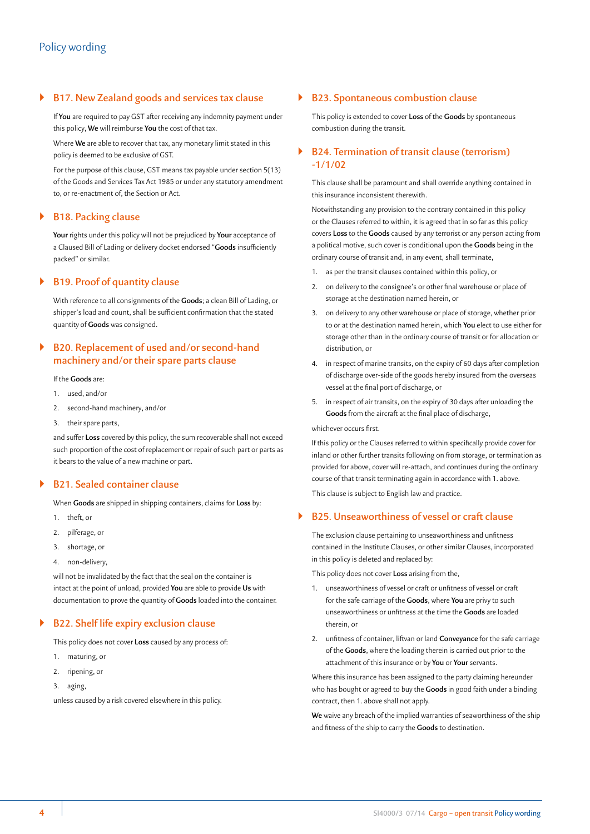# ` **B17. New Zealand goods and services tax clause**

If **You** are required to pay GST after receiving any indemnity payment under this policy, **We** will reimburse **You** the cost of that tax.

Where **We** are able to recover that tax, any monetary limit stated in this policy is deemed to be exclusive of GST.

For the purpose of this clause, GST means tax payable under section 5(13) of the Goods and Services Tax Act 1985 or under any statutory amendment to, or re-enactment of, the Section or Act.

# ` **B18. Packing clause**

**Your** rights under this policy will not be prejudiced by **Your** acceptance of a Claused Bill of Lading or delivery docket endorsed "**Goods** insufficiently packed" or similar.

# ` **B19. Proof of quantity clause**

With reference to all consignments of the **Goods**; a clean Bill of Lading, or shipper's load and count, shall be sufficient confirmation that the stated quantity of **Goods** was consigned.

# ` **B20. Replacement of used and/or second-hand machinery and/or their spare parts clause**

#### If the **Goods** are:

- 1. used, and/or
- 2. second-hand machinery, and/or
- 3. their spare parts,

and suffer **Loss** covered by this policy, the sum recoverable shall not exceed such proportion of the cost of replacement or repair of such part or parts as it bears to the value of a new machine or part.

# ` **B21. Sealed container clause**

When **Goods** are shipped in shipping containers, claims for **Loss** by:

- 1. theft, or
- 2. pilferage, or
- 3. shortage, or
- 4. non-delivery,

will not be invalidated by the fact that the seal on the container is intact at the point of unload, provided **You** are able to provide **Us** with documentation to prove the quantity of **Goods** loaded into the container.

# ` **B22. Shelf life expiry exclusion clause**

This policy does not cover **Loss** caused by any process of:

- 1. maturing, or
- 2. ripening, or
- 3. aging,

unless caused by a risk covered elsewhere in this policy.

# ` **B23. Spontaneous combustion clause**

This policy is extended to cover **Loss** of the **Goods** by spontaneous combustion during the transit.

# ` **B24. Termination of transit clause (terrorism) -1/1/02**

This clause shall be paramount and shall override anything contained in this insurance inconsistent therewith.

Notwithstanding any provision to the contrary contained in this policy or the Clauses referred to within, it is agreed that in so far as this policy covers **Loss** to the **Goods** caused by any terrorist or any person acting from a political motive, such cover is conditional upon the **Goods** being in the ordinary course of transit and, in any event, shall terminate,

- 1. as per the transit clauses contained within this policy, or
- 2. on delivery to the consignee's or other final warehouse or place of storage at the destination named herein, or
- 3. on delivery to any other warehouse or place of storage, whether prior to or at the destination named herein, which **You** elect to use either for storage other than in the ordinary course of transit or for allocation or distribution, or
- 4. in respect of marine transits, on the expiry of 60 days after completion of discharge over-side of the goods hereby insured from the overseas vessel at the final port of discharge, or
- 5. in respect of air transits, on the expiry of 30 days after unloading the **Goods** from the aircraft at the final place of discharge,

#### whichever occurs first.

If this policy or the Clauses referred to within specifically provide cover for inland or other further transits following on from storage, or termination as provided for above, cover will re-attach, and continues during the ordinary course of that transit terminating again in accordance with 1. above.

This clause is subject to English law and practice.

#### ` **B25. Unseaworthiness of vessel or craft clause**

The exclusion clause pertaining to unseaworthiness and unfitness contained in the Institute Clauses, or other similar Clauses, incorporated in this policy is deleted and replaced by:

This policy does not cover **Loss** arising from the,

- 1. unseaworthiness of vessel or craft or unfitness of vessel or craft for the safe carriage of the **Goods**, where **You** are privy to such unseaworthiness or unfitness at the time the **Goods** are loaded therein, or
- 2. unfitness of container, liftvan or land **Conveyance** for the safe carriage of the **Goods**, where the loading therein is carried out prior to the attachment of this insurance or by **You** or **Your** servants.

Where this insurance has been assigned to the party claiming hereunder who has bought or agreed to buy the **Goods** in good faith under a binding contract, then 1. above shall not apply.

**We** waive any breach of the implied warranties of seaworthiness of the ship and fitness of the ship to carry the **Goods** to destination.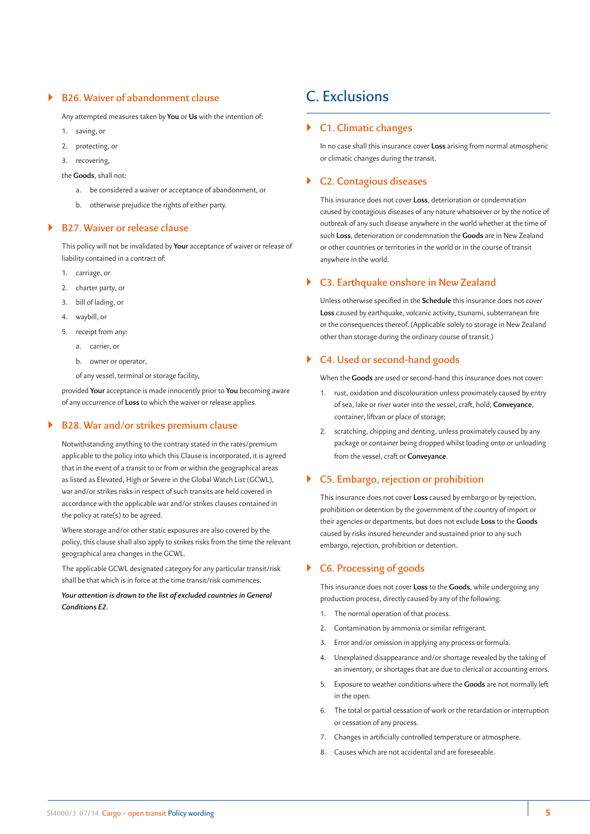# ` **B26. Waiver of abandonment clause**

Any attempted measures taken by **You** or **Us** with the intention of:

- 1. saving, or
- 2. protecting, or
- 3. recovering,

the **Goods**, shall not:

- a. be considered a waiver or acceptance of abandonment, or
- b. otherwise prejudice the rights of either party.

#### ` **B27. Waiver or release clause**

This policy will not be invalidated by **Your** acceptance of waiver or release of liability contained in a contract of:

- 1. carriage, or
- 2. charter party, or
- 3. bill of lading, or
- 4. waybill, or
- 5. receipt from any:
	- a. carrier, or
	- b. owner or operator,

of any vessel, terminal or storage facility,

provided **Your** acceptance is made innocently prior to **You** becoming aware of any occurrence of **Loss** to which the waiver or release applies.

#### ` **B28. War and/or strikes premium clause**

Notwithstanding anything to the contrary stated in the rates/premium applicable to the policy into which this Clause is incorporated, it is agreed that in the event of a transit to or from or within the geographical areas as listed as Elevated, High or Severe in the Global Watch List (GCWL), war and/or strikes risks in respect of such transits are held covered in accordance with the applicable war and/or strikes clauses contained in the policy at rate(s) to be agreed.

Where storage and/or other static exposures are also covered by the policy, this clause shall also apply to strikes risks from the time the relevant geographical area changes in the GCWL.

The applicable GCWL designated category for any particular transit/risk shall be that which is in force at the time transit/risk commences.

*Your attention is drawn to the list of excluded countries in General Conditions E2.*

# C. Exclusions

#### ` **C1. Climatic changes**

In no case shall this insurance cover **Loss** arising from normal atmospheric or climatic changes during the transit.

# ` **C2. Contagious diseases**

This insurance does not cover **Loss**, deterioration or condemnation caused by contagious diseases of any nature whatsoever or by the notice of outbreak of any such disease anywhere in the world whether at the time of such **Loss**, deterioration or condemnation the **Goods** are in New Zealand or other countries or territories in the world or in the course of transit anywhere in the world.

#### ` **C3. Earthquake onshore in New Zealand**

Unless otherwise specified in the **Schedule** this insurance does not cover **Loss** caused by earthquake, volcanic activity, tsunami, subterranean fire or the consequences thereof. (Applicable solely to storage in New Zealand other than storage during the ordinary course of transit.)

#### ` **C4. Used or second-hand goods**

When the **Goods** are used or second-hand this insurance does not cover:

- 1. rust, oxidation and discolouration unless proximately caused by entry of sea, lake or river water into the vessel, craft, hold, **Conveyance**, container, liftvan or place of storage;
- 2. scratching, chipping and denting, unless proximately caused by any package or container being dropped whilst loading onto or unloading from the vessel, craft or **Conveyance**.

#### ` **C5. Embargo, rejection or prohibition**

This insurance does not cover **Loss** caused by embargo or by rejection, prohibition or detention by the government of the country of import or their agencies or departments, but does not exclude **Loss** to the **Goods** caused by risks insured hereunder and sustained prior to any such embargo, rejection, prohibition or detention.

# ` **C6. Processing of goods**

This insurance does not cover **Loss** to the **Goods**, while undergoing any production process, directly caused by any of the following:

- 1. The normal operation of that process.
- 2. Contamination by ammonia or similar refrigerant.
- 3. Error and/or omission in applying any process or formula.
- 4. Unexplained disappearance and/or shortage revealed by the taking of an inventory, or shortages that are due to clerical or accounting errors.
- 5. Exposure to weather conditions where the **Goods** are not normally left in the open.
- 6. The total or partial cessation of work or the retardation or interruption or cessation of any process.
- 7. Changes in artificially controlled temperature or atmosphere.
- 8. Causes which are not accidental and are foreseeable.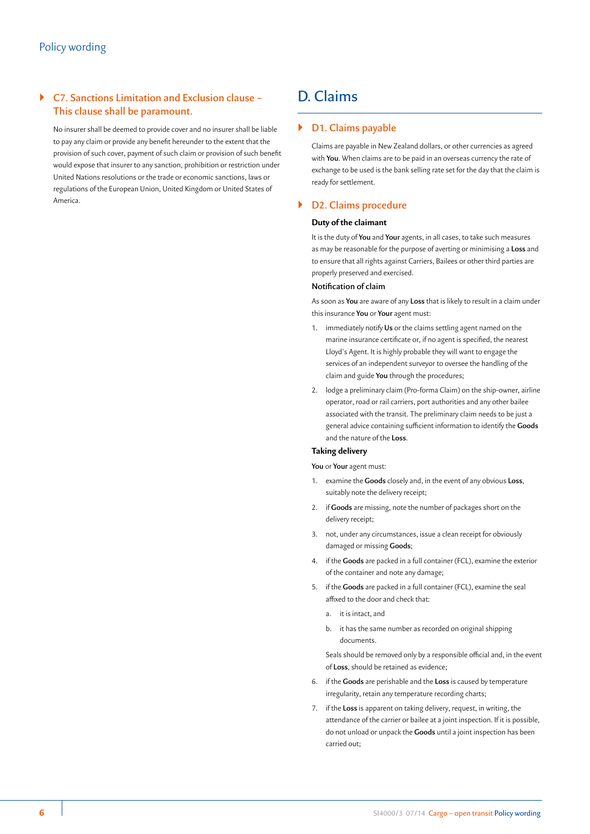# ` **C7. Sanctions Limitation and Exclusion clause – This clause shall be paramount.**

No insurer shall be deemed to provide cover and no insurer shall be liable to pay any claim or provide any benefit hereunder to the extent that the provision of such cover, payment of such claim or provision of such benefit would expose that insurer to any sanction, prohibition or restriction under United Nations resolutions or the trade or economic sanctions, laws or regulations of the European Union, United Kingdom or United States of America.

# D. Claims

# ` **D1. Claims payable**

Claims are payable in New Zealand dollars, or other currencies as agreed with **You**. When claims are to be paid in an overseas currency the rate of exchange to be used is the bank selling rate set for the day that the claim is ready for settlement.

# ` **D2. Claims procedure**

#### **Duty of the claimant**

It is the duty of **You** and **Your** agents, in all cases, to take such measures as may be reasonable for the purpose of averting or minimising a **Loss** and to ensure that all rights against Carriers, Bailees or other third parties are properly preserved and exercised.

#### **Notification of claim**

As soon as **You** are aware of any **Loss** that is likely to result in a claim under this insurance **You** or **Your** agent must:

- 1. immediately notify **Us** or the claims settling agent named on the marine insurance certificate or, if no agent is specified, the nearest Lloyd's Agent. It is highly probable they will want to engage the services of an independent surveyor to oversee the handling of the claim and guide **You** through the procedures;
- 2. lodge a preliminary claim (Pro-forma Claim) on the ship-owner, airline operator, road or rail carriers, port authorities and any other bailee associated with the transit. The preliminary claim needs to be just a general advice containing sufficient information to identify the **Goods** and the nature of the **Loss**.

#### **Taking delivery**

**You** or **Your** agent must:

- 1. examine the **Goods** closely and, in the event of any obvious **Loss**, suitably note the delivery receipt;
- 2. if **Goods** are missing, note the number of packages short on the delivery receipt;
- 3. not, under any circumstances, issue a clean receipt for obviously damaged or missing **Goods**;
- 4. if the **Goods** are packed in a full container (FCL), examine the exterior of the container and note any damage;
- 5. if the **Goods** are packed in a full container (FCL), examine the seal affixed to the door and check that:
	- a. it is intact, and
	- b. it has the same number as recorded on original shipping documents.

Seals should be removed only by a responsible official and, in the event of **Loss**, should be retained as evidence;

- 6. if the **Goods** are perishable and the **Loss** is caused by temperature irregularity, retain any temperature recording charts;
- 7. if the **Loss** is apparent on taking delivery, request, in writing, the attendance of the carrier or bailee at a joint inspection. If it is possible, do not unload or unpack the **Goods** until a joint inspection has been carried out;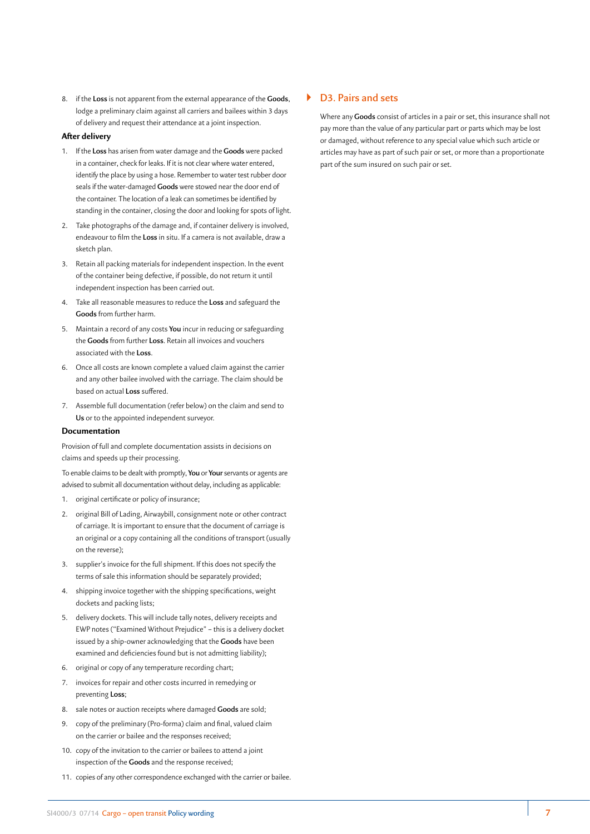8. if the **Loss** is not apparent from the external appearance of the **Goods**, lodge a preliminary claim against all carriers and bailees within 3 days of delivery and request their attendance at a joint inspection.

#### **After delivery**

- 1. If the **Loss** has arisen from water damage and the **Goods** were packed in a container, check for leaks. If it is not clear where water entered, identify the place by using a hose. Remember to water test rubber door seals if the water-damaged **Goods** were stowed near the door end of the container. The location of a leak can sometimes be identified by standing in the container, closing the door and looking for spots of light.
- 2. Take photographs of the damage and, if container delivery is involved, endeavour to film the **Loss** in situ. If a camera is not available, draw a sketch plan.
- 3. Retain all packing materials for independent inspection. In the event of the container being defective, if possible, do not return it until independent inspection has been carried out.
- 4. Take all reasonable measures to reduce the **Loss** and safeguard the **Goods** from further harm.
- 5. Maintain a record of any costs **You** incur in reducing or safeguarding the **Goods** from further **Loss**. Retain all invoices and vouchers associated with the **Loss**.
- 6. Once all costs are known complete a valued claim against the carrier and any other bailee involved with the carriage. The claim should be based on actual **Loss** suffered.
- 7. Assemble full documentation (refer below) on the claim and send to **Us** or to the appointed independent surveyor.

#### **Documentation**

Provision of full and complete documentation assists in decisions on claims and speeds up their processing.

To enable claims to be dealt with promptly, **You** or **Your** servants or agents are advised to submit all documentation without delay, including as applicable:

- 1. original certificate or policy of insurance;
- 2. original Bill of Lading, Airwaybill, consignment note or other contract of carriage. It is important to ensure that the document of carriage is an original or a copy containing all the conditions of transport (usually on the reverse);
- 3. supplier's invoice for the full shipment. If this does not specify the terms of sale this information should be separately provided;
- 4. shipping invoice together with the shipping specifications, weight dockets and packing lists;
- 5. delivery dockets. This will include tally notes, delivery receipts and EWP notes ("Examined Without Prejudice" – this is a delivery docket issued by a ship-owner acknowledging that the **Goods** have been examined and deficiencies found but is not admitting liability);
- 6. original or copy of any temperature recording chart;
- 7. invoices for repair and other costs incurred in remedying or preventing **Loss**;
- 8. sale notes or auction receipts where damaged **Goods** are sold;
- 9. copy of the preliminary (Pro-forma) claim and final, valued claim on the carrier or bailee and the responses received;
- 10. copy of the invitation to the carrier or bailees to attend a joint inspection of the **Goods** and the response received;
- 11. copies of any other correspondence exchanged with the carrier or bailee.

#### ` **D3. Pairs and sets**

Where any **Goods** consist of articles in a pair or set, this insurance shall not pay more than the value of any particular part or parts which may be lost or damaged, without reference to any special value which such article or articles may have as part of such pair or set, or more than a proportionate part of the sum insured on such pair or set.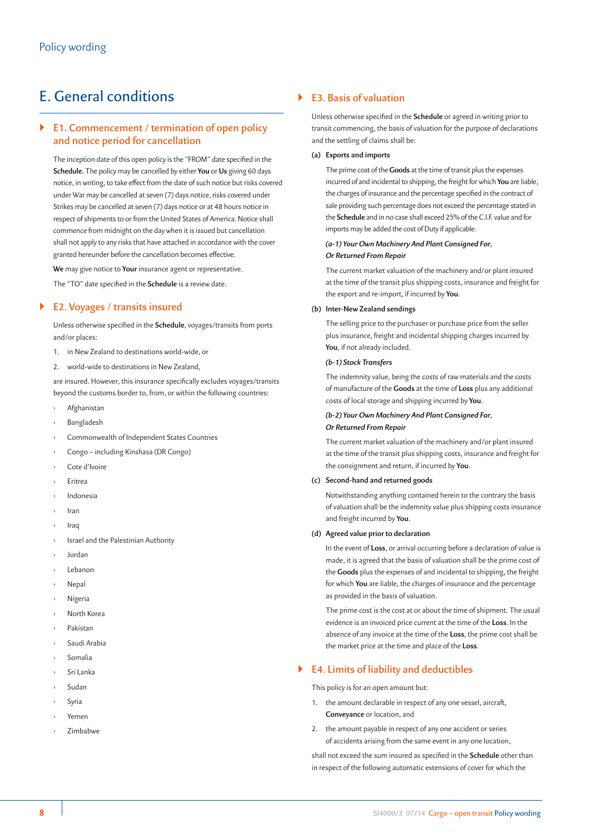# E. General conditions

# ` **E1. Commencement / termination of open policy and notice period for cancellation**

The inception date of this open policy is the "FROM" date specified in the **Schedule.** The policy may be cancelled by either **You** or **Us** giving 60 days notice, in writing, to take effect from the date of such notice but risks covered under War may be cancelled at seven (7) days notice, risks covered under Strikes may be cancelled at seven (7) days notice or at 48 hours notice in respect of shipments to or from the United States of America. Notice shall commence from midnight on the day when it is issued but cancellation shall not apply to any risks that have attached in accordance with the cover granted hereunder before the cancellation becomes effective.

**We** may give notice to **Your** insurance agent or representative.

The "TO" date specified in the **Schedule** is a review date.

# ` **E2. Voyages / transits insured**

Unless otherwise specified in the **Schedule**, voyages/transits from ports and/or places:

- 1. in New Zealand to destinations world-wide, or
- 2. world-wide to destinations in New Zealand,

are insured. However, this insurance specifically excludes voyages/transits beyond the customs border to, from, or within the following countries:

- **Afghanistan**
- **Bangladesh**
- Commonwealth of Independent States Countries
- › Congo including Kinshasa (DR Congo)
- Cote d'Ivoire
- **Eritrea**
- › Indonesia
- **Iran**
- Iraq
- Israel and the Palestinian Authority
- › Jordan
- **Lebanon**
- **Nepal**
- **Nigeria**
- North Korea
- Pakistan
- Saudi Arabia
- › Somalia
- Sri Lanka
- Sudan
- Syria
- › Yemen
- **Zimbabwe**

#### ` **E3. Basis of valuation**

Unless otherwise specified in the **Schedule** or agreed in writing prior to transit commencing, the basis of valuation for the purpose of declarations and the settling of claims shall be:

#### **(a) Exports and imports**

The prime cost of the **Goods** at the time of transit plus the expenses incurred of and incidental to shipping, the freight for which **You** are liable, the charges of insurance and the percentage specified in the contract of sale providing such percentage does not exceed the percentage stated in the **Schedule** and in no case shall exceed 25% of the C.I.F. value and for imports may be added the cost of Duty if applicable.

#### *(a-1) Your Own Machinery And Plant Consigned For, Or Returned From Repair*

The current market valuation of the machinery and/or plant insured at the time of the transit plus shipping costs, insurance and freight for the export and re-import, if incurred by **You**.

#### **(b) Inter-New Zealand sendings**

The selling price to the purchaser or purchase price from the seller plus insurance, freight and incidental shipping charges incurred by **You**, if not already included.

#### *(b-1) Stock Transfers*

The indemnity value, being the costs of raw materials and the costs of manufacture of the **Goods** at the time of **Loss** plus any additional costs of local storage and shipping incurred by **You**.

#### *(b-2) Your Own Machinery And Plant Consigned For, Or Returned From Repair*

The current market valuation of the machinery and/or plant insured at the time of the transit plus shipping costs, insurance and freight for the consignment and return, if incurred by **You**.

#### **(c) Second-hand and returned goods**

Notwithstanding anything contained herein to the contrary the basis of valuation shall be the indemnity value plus shipping costs insurance and freight incurred by **You**.

#### **(d) Agreed value prior to declaration**

In the event of **Loss**, or arrival occurring before a declaration of value is made, it is agreed that the basis of valuation shall be the prime cost of the **Goods** plus the expenses of and incidental to shipping, the freight for which **You** are liable, the charges of insurance and the percentage as provided in the basis of valuation.

The prime cost is the cost at or about the time of shipment. The usual evidence is an invoiced price current at the time of the **Loss**. In the absence of any invoice at the time of the **Loss**, the prime cost shall be the market price at the time and place of the **Loss**.

#### ` **E4. Limits of liability and deductibles**

This policy is for an open amount but:

- 1. the amount declarable in respect of any one vessel, aircraft, **Conveyance** or location, and
- 2. the amount payable in respect of any one accident or series of accidents arising from the same event in any one location,

shall not exceed the sum insured as specified in the **Schedule** other than in respect of the following automatic extensions of cover for which the